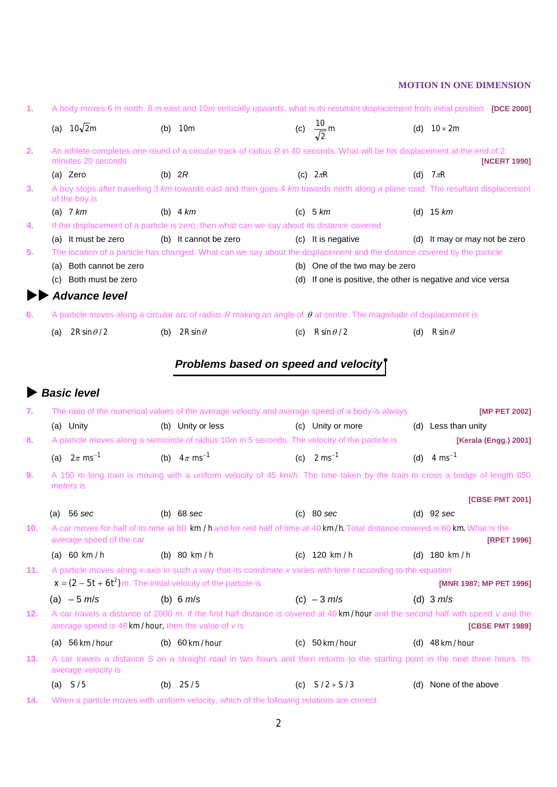| 1.  |           |                                                                  |          | A body moves 6 m north. 8 m east and 10m vertically upwards, what is its resultant displacement from initial position [DCE 2000]           |     |                                                                                                |                               |
|-----|-----------|------------------------------------------------------------------|----------|--------------------------------------------------------------------------------------------------------------------------------------------|-----|------------------------------------------------------------------------------------------------|-------------------------------|
|     |           | (a) $10\sqrt{2}m$                                                |          | $(b)$ 10m                                                                                                                                  |     | (c) $\frac{10}{\sqrt{2}}$ m                                                                    | (d) $10 \times 2m$            |
| 2.  |           | minutes 20 seconds                                               |          | An athlete completes one round of a circular track of radius R in 40 seconds. What will be his displacement at the end of 2                |     |                                                                                                | [NCERT 1990]                  |
|     |           | (a) Zero                                                         | (b) $2R$ |                                                                                                                                            |     | (c) $2\pi R$                                                                                   | (d) $7\pi R$                  |
| 3.  |           | of the boy is                                                    |          | A boy stops after travelling 3 km towards east and then goes 4 km towards north along a plane road. The resultant displacement             |     |                                                                                                |                               |
|     |           | (a) $7 km$                                                       |          | (b) $4 km$                                                                                                                                 |     | (c) $5 km$                                                                                     | (d) $15 km$                   |
| 4.  |           |                                                                  |          | If the displacement of a particle is zero, then what can we say about its distance covered                                                 |     |                                                                                                |                               |
|     |           | (a) It must be zero                                              |          | (b) It cannot be zero                                                                                                                      |     | (c) It is negative                                                                             | (d) It may or may not be zero |
| 5.  |           |                                                                  |          | The location of a particle has changed. What can we say about the displacement and the distance covered by the particle                    |     |                                                                                                |                               |
|     | (c)       | (a) Both cannot be zero<br>Both must be zero                     |          |                                                                                                                                            |     | (b) One of the two may be zero<br>(d) If one is positive, the other is negative and vice versa |                               |
|     |           |                                                                  |          |                                                                                                                                            |     |                                                                                                |                               |
|     |           | <b>Advance level</b>                                             |          |                                                                                                                                            |     |                                                                                                |                               |
| 6.  |           |                                                                  |          | A particle moves along a circular arc of radius R making an angle of $\theta$ at centre. The magnitude of displacement is                  |     |                                                                                                |                               |
|     | (a)       | $2R\sin\theta/2$                                                 |          | (b) $2R\sin\theta$                                                                                                                         | (c) | $R \sin \theta / 2$                                                                            | (d) $R \sin \theta$           |
|     |           |                                                                  |          |                                                                                                                                            |     |                                                                                                |                               |
|     |           |                                                                  |          | Problems based on speed and velocity                                                                                                       |     |                                                                                                |                               |
|     |           | <b>Basic level</b>                                               |          |                                                                                                                                            |     |                                                                                                |                               |
| 7.  |           |                                                                  |          | The ratio of the numerical values of the average velocity and average speed of a body is always                                            |     |                                                                                                | [MP PET 2002]                 |
|     |           | (a) Unity                                                        |          | (b) Unity or less                                                                                                                          |     | (c) Unity or more                                                                              | (d) Less than unity           |
| 8.  |           |                                                                  |          | A particle moves along a semicircle of radius 10m in 5 seconds. The velocity of the particle is                                            |     |                                                                                                | [Kerala (Engg.) 2001]         |
|     |           | (a) $2\pi$ ms <sup>-1</sup>                                      |          | (b) $4\pi$ ms <sup>-1</sup>                                                                                                                |     | (c) $2 \text{ ms}^{-1}$                                                                        | (d) $4 \text{ ms}^{-1}$       |
| 9.  |           |                                                                  |          | A 150 m long train is moving with a uniform velocity of 45 km/h. The time taken by the train to cross a bridge of length 850               |     |                                                                                                |                               |
|     |           | meters is                                                        |          |                                                                                                                                            |     |                                                                                                |                               |
|     |           |                                                                  |          |                                                                                                                                            |     |                                                                                                | <b>[CBSE PMT 2001]</b>        |
|     | (a)       | 56 sec                                                           |          | $(b)$ 68 sec                                                                                                                               |     | $(c)$ 80 sec                                                                                   | $(d)$ 92 sec                  |
| 10. |           | average speed of the car                                         |          | A car moves for half of its time at 80 km / h and for rest half of time at 40 km/h. Total distance covered is 60 km. What is the           |     |                                                                                                | <b>[RPET 1996]</b>            |
|     |           | (a) 60 km/h                                                      |          | (b) 80 km / h                                                                                                                              |     | (c) $120 \text{ km/h}$                                                                         | (d) $180 \text{ km/h}$        |
| 11. |           | $x = (2 - 5t + 6t^2)$ m. The initial velocity of the particle is |          | A particle moves along x-axis in such a way that its coordinate x varies with time t according to the equation                             |     |                                                                                                | [MNR 1987; MP PET 1996]       |
|     |           | (a) $-5$ m/s                                                     |          | (b) 6 $m/s$                                                                                                                                |     | (c) $-3$ m/s                                                                                   | (d) $3 \, m/s$                |
| 12. |           | average speed is $48 \text{ km/hour}$ , then the value of v is   |          | A car travels a distance of 2000 m. If the first half distance is covered at $40 \text{ km/hour}$ and the second half with speed v and the |     |                                                                                                | [CBSE PMT 1989]               |
|     |           | (a) $56 \text{ km/hour}$                                         |          | (b) $60 \text{ km/hour}$                                                                                                                   |     | (c) $50 \text{ km/hour}$                                                                       | (d) $48 \text{ km/hour}$      |
| 13. |           | average velocity is                                              |          | A car travels a distance S on a straight road in two hours and then returns to the starting point in the next three hours. Its             |     |                                                                                                |                               |
|     |           |                                                                  |          | (b) $2S/5$                                                                                                                                 |     |                                                                                                |                               |
|     | (a) $S/5$ |                                                                  |          |                                                                                                                                            |     | (c) $S/2 + S/3$                                                                                | (d) None of the above         |

**14.** When a particle moves with uniform velocity, which of the following relations are correct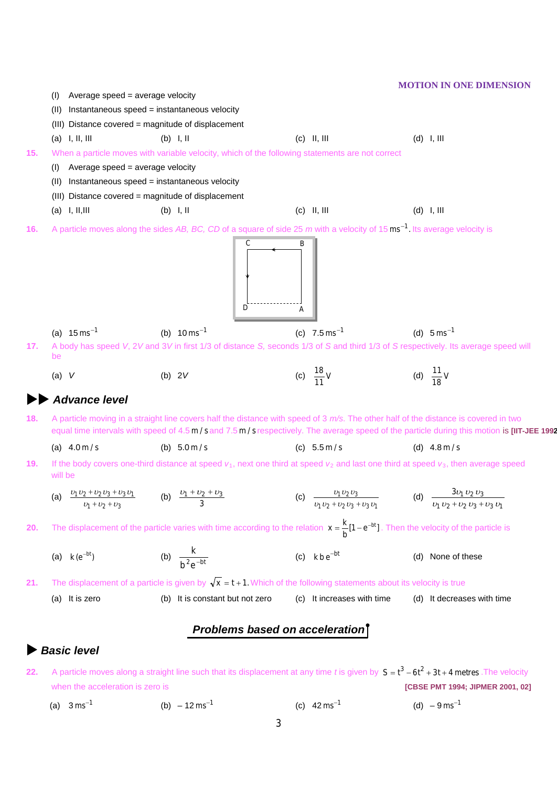|     |                                                                                        |                                                                                                                                                   |                                 | <b>MOTION IN ONE DIMENSION</b>                                                                                                                                                                                                                                                      |
|-----|----------------------------------------------------------------------------------------|---------------------------------------------------------------------------------------------------------------------------------------------------|---------------------------------|-------------------------------------------------------------------------------------------------------------------------------------------------------------------------------------------------------------------------------------------------------------------------------------|
|     | Average speed = average velocity<br>(1)                                                |                                                                                                                                                   |                                 |                                                                                                                                                                                                                                                                                     |
|     | (II)                                                                                   | Instantaneous speed = instantaneous velocity                                                                                                      |                                 |                                                                                                                                                                                                                                                                                     |
|     |                                                                                        | (III) Distance covered = magnitude of displacement                                                                                                |                                 |                                                                                                                                                                                                                                                                                     |
|     | $(a)$ I, II, III                                                                       | $(b)$ I, II                                                                                                                                       | $(c)$ II, III                   | $(d)$ I, III                                                                                                                                                                                                                                                                        |
| 15. |                                                                                        | When a particle moves with variable velocity, which of the following statements are not correct                                                   |                                 |                                                                                                                                                                                                                                                                                     |
|     | Average speed = average velocity<br>(I)                                                |                                                                                                                                                   |                                 |                                                                                                                                                                                                                                                                                     |
|     | (II)                                                                                   | Instantaneous speed = instantaneous velocity                                                                                                      |                                 |                                                                                                                                                                                                                                                                                     |
|     |                                                                                        | (III) Distance covered = magnitude of displacement                                                                                                |                                 |                                                                                                                                                                                                                                                                                     |
|     | $(a)$ I, II, III                                                                       | $(b)$ I, II                                                                                                                                       | $(c)$ II, III                   | $(d)$ I, III                                                                                                                                                                                                                                                                        |
| 16. |                                                                                        | A particle moves along the sides AB, BC, CD of a square of side 25 $m$ with a velocity of 15 $\text{ms}^{-1}$ . Its average velocity is<br>С<br>D | А                               |                                                                                                                                                                                                                                                                                     |
|     | (a) $15 \text{ ms}^{-1}$                                                               | (b) $10 \text{ ms}^{-1}$                                                                                                                          | (c) $7.5 \text{ ms}^{-1}$       | (d) $5 \text{ ms}^{-1}$                                                                                                                                                                                                                                                             |
| 17. |                                                                                        |                                                                                                                                                   |                                 | A body has speed V, 2V and 3V in first 1/3 of distance S, seconds 1/3 of S and third 1/3 of S respectively. Its average speed will                                                                                                                                                  |
|     | be<br>$(a)$ V                                                                          | (b) $2V$                                                                                                                                          | (c) $\frac{18}{11}V$            | (d) $\frac{11}{18}V$                                                                                                                                                                                                                                                                |
|     | <b>Advance level</b>                                                                   |                                                                                                                                                   |                                 |                                                                                                                                                                                                                                                                                     |
| 18. |                                                                                        |                                                                                                                                                   |                                 | A particle moving in a straight line covers half the distance with speed of $3$ m/s. The other half of the distance is covered in two<br>equal time intervals with speed of 4.5 m/s and 7.5 m/s respectively. The average speed of the particle during this motion is [IIT-JEE 1992 |
|     | (a) $4.0 \,\mathrm{m/s}$                                                               | (b) $5.0 \,\mathrm{m/s}$                                                                                                                          | (c) $5.5 \,\mathrm{m/s}$        | (d) $4.8 \,\mathrm{m/s}$                                                                                                                                                                                                                                                            |
| 19. | will be                                                                                |                                                                                                                                                   |                                 | If the body covers one-third distance at speed $v_1$ , next one third at speed $v_2$ and last one third at speed $v_3$ , then average speed                                                                                                                                         |
|     | (a) $\frac{v_1v_2 + v_2v_3 + v_3v_1}{v_1 + v_2 + v_3}$ (b) $\frac{v_1 + v_2 + v_3}{3}$ |                                                                                                                                                   |                                 | (c) $\frac{v_1 v_2 v_3}{v_1 v_2 + v_2 v_3 + v_3 v_1}$ (d) $\frac{3v_1 v_2 v_3}{v_1 v_2 + v_2 v_3 + v_3 v_1}$                                                                                                                                                                        |
| 20. |                                                                                        |                                                                                                                                                   |                                 | The displacement of the particle varies with time according to the relation $x = \frac{k}{h} [1 - e^{-bt}]$ . Then the velocity of the particle is                                                                                                                                  |
|     | (a) $k(e^{-bt})$                                                                       | (b) $\frac{k}{h^2 e^{-bt}}$                                                                                                                       | (c) $k b e^{-bt}$               | (d) None of these                                                                                                                                                                                                                                                                   |
| 21. |                                                                                        | The displacement of a particle is given by $\sqrt{x} = t + 1$ . Which of the following statements about its velocity is true                      |                                 |                                                                                                                                                                                                                                                                                     |
|     | (a) It is zero                                                                         | (b) It is constant but not zero                                                                                                                   | (c) It increases with time      | (d) It decreases with time                                                                                                                                                                                                                                                          |
|     |                                                                                        |                                                                                                                                                   | Problems based on acceleration] |                                                                                                                                                                                                                                                                                     |
|     | <b>Basic level</b>                                                                     |                                                                                                                                                   |                                 |                                                                                                                                                                                                                                                                                     |
| 22. |                                                                                        |                                                                                                                                                   |                                 | A particle moves along a straight line such that its displacement at any time t is given by $S = t^3 - 6t^2 + 3t + 4$ metres. The velocity                                                                                                                                          |
|     | when the acceleration is zero is                                                       |                                                                                                                                                   |                                 | [CBSE PMT 1994; JIPMER 2001, 02]                                                                                                                                                                                                                                                    |

(a)  $3 \text{ ms}^{-1}$  (b)  $-12 \text{ ms}^{-1}$  (c)  $42 \text{ ms}^{-1}$  (d)  $-9 \text{ ms}^{-1}$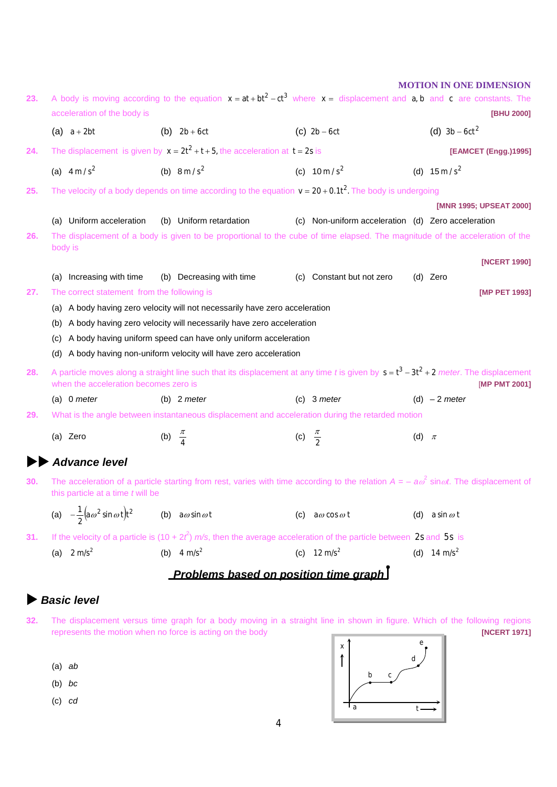| 23.                                   | acceleration of the body is                                      |                     | A body is moving according to the equation $x = at + bt^2 - ct^3$ where $x =$ displacement and a, b and c are constants. The                       |                     |                                                    |           | <b>MOTION IN ONE DIMENSION</b><br><b>IBHU 20001</b> |
|---------------------------------------|------------------------------------------------------------------|---------------------|----------------------------------------------------------------------------------------------------------------------------------------------------|---------------------|----------------------------------------------------|-----------|-----------------------------------------------------|
|                                       | (a) $a + 2bt$                                                    |                     | (b) $2b + 6ct$                                                                                                                                     |                     | (c) $2b-6ct$                                       |           | (d) $3b - 6ct^2$                                    |
| 24.                                   |                                                                  |                     | The displacement is given by $x = 2t^2 + t + 5$ , the acceleration at $t = 2s$ is                                                                  |                     |                                                    |           | [EAMCET (Engg.)1995]                                |
|                                       | (a) $4 \text{ m/s}^2$                                            |                     | (b) $8 \text{ m/s}^2$                                                                                                                              |                     | (c) $10 \text{ m/s}^2$                             |           | (d) $15 \text{ m/s}^2$                              |
|                                       |                                                                  |                     |                                                                                                                                                    |                     |                                                    |           |                                                     |
| 25.                                   |                                                                  |                     | The velocity of a body depends on time according to the equation $v = 20 + 0.1t^2$ . The body is undergoing                                        |                     |                                                    |           | [MNR 1995; UPSEAT 2000]                             |
|                                       | (a) Uniform acceleration                                         |                     | (b) Uniform retardation                                                                                                                            |                     | (c) Non-uniform acceleration (d) Zero acceleration |           |                                                     |
| 26.                                   |                                                                  |                     | The displacement of a body is given to be proportional to the cube of time elapsed. The magnitude of the acceleration of the                       |                     |                                                    |           |                                                     |
|                                       | body is                                                          |                     |                                                                                                                                                    |                     |                                                    |           | [NCERT 1990]                                        |
|                                       | Increasing with time<br>(a)                                      |                     | (b) Decreasing with time                                                                                                                           |                     | (c) Constant but not zero                          |           | (d) Zero                                            |
| 27.                                   | The correct statement from the following is                      |                     |                                                                                                                                                    |                     |                                                    |           | [MP PET 1993]                                       |
|                                       | (a)                                                              |                     | A body having zero velocity will not necessarily have zero acceleration                                                                            |                     |                                                    |           |                                                     |
|                                       | (b)                                                              |                     | A body having zero velocity will necessarily have zero acceleration                                                                                |                     |                                                    |           |                                                     |
|                                       | $\left( c\right)$                                                |                     | A body having uniform speed can have only uniform acceleration                                                                                     |                     |                                                    |           |                                                     |
|                                       | (d)                                                              |                     | A body having non-uniform velocity will have zero acceleration                                                                                     |                     |                                                    |           |                                                     |
| 28.                                   | when the acceleration becomes zero is                            |                     | A particle moves along a straight line such that its displacement at any time t is given by $s = t^3 - 3t^2 + 2$ meter. The displacement           |                     |                                                    |           | [MP PMT 2001]                                       |
|                                       | (a) 0 meter                                                      |                     | (b) $2$ meter                                                                                                                                      |                     | $(c)$ 3 meter                                      |           | (d) $-2$ meter                                      |
| 29.                                   |                                                                  |                     | What is the angle between instantaneous displacement and acceleration during the retarded motion                                                   |                     |                                                    |           |                                                     |
|                                       | (a) Zero                                                         | (b) $\frac{\pi}{4}$ |                                                                                                                                                    | (c) $\frac{\pi}{2}$ |                                                    | (d) $\pi$ |                                                     |
|                                       | <b>Advance level</b>                                             |                     |                                                                                                                                                    |                     |                                                    |           |                                                     |
| 30.                                   |                                                                  |                     | The acceleration of a particle starting from rest, varies with time according to the relation $A = -a\omega^2 \sin \omega t$ . The displacement of |                     |                                                    |           |                                                     |
|                                       | this particle at a time t will be                                |                     |                                                                                                                                                    |                     |                                                    |           |                                                     |
|                                       | (a) $-\frac{1}{2}(\mathbf{a}\omega^2 \sin \omega t)\mathbf{t}^2$ |                     | (b) $a\omega \sin \omega t$                                                                                                                        |                     | (c) $a\omega \cos \omega t$                        |           | (d) $a \sin \omega t$                               |
| 31.                                   |                                                                  |                     | If the velocity of a particle is $(10 + 2t^2)$ m/s, then the average acceleration of the particle between 2s and 5s is                             |                     |                                                    |           |                                                     |
|                                       | (a) $2 \text{ m/s}^2$                                            |                     | (b) $4 \text{ m/s}^2$                                                                                                                              |                     | (c) $12 \text{ m/s}^2$                             |           | (d) 14 m/s <sup>2</sup>                             |
| Problems based on position time graph |                                                                  |                     |                                                                                                                                                    |                     |                                                    |           |                                                     |

# *Basic level*

- **32.** The displacement versus time graph for a body moving in a straight line in shown in figure. Which of the following regions represents the motion when no force is acting on the body **[NCERT 1971]** [NCERT 1971]
	- (a) *ab*
	- (b) *bc*
	- (c) *cd*

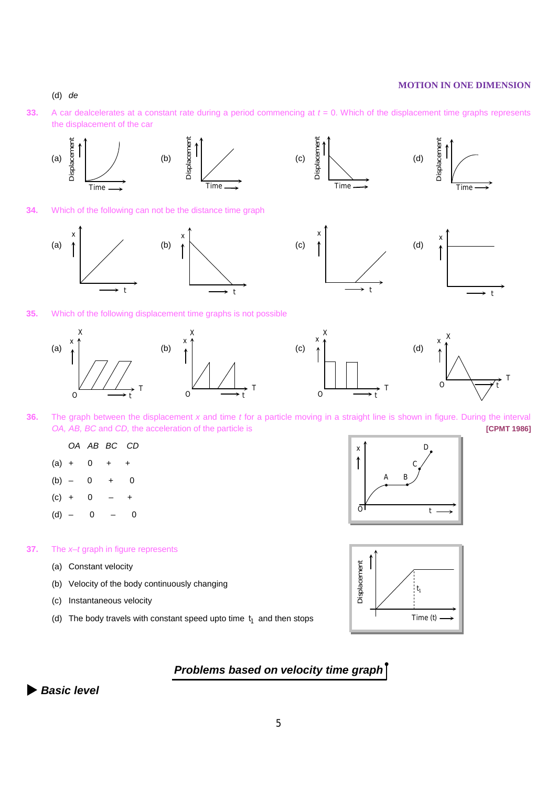### (d) *de*

**33.** A car dealcelerates at a constant rate during a period commencing at *t* = 0. Which of the displacement time graphs represents the displacement of the car



- **36.** The graph between the displacement *x* and time *t* for a particle moving in a straight line is shown in figure. During the interval *OA, AB, BC* and *CD,* the acceleration of the particle is **[CPMT 1986]**
	- *OA AB BC CD*
	- $(a) + 0$
	- $(b) 0 + 0$
	- $(c) + 0$
	- $(d) 0 0$

### **37.** The *x–t* graph in figure represents

- (a) Constant velocity
- (b) Velocity of the body continuously changing
- (c) Instantaneous velocity
- (d) The body travels with constant speed upto time <sup>1</sup> *t* and then stops





# *Problems based on velocity time graph*

*Basic level*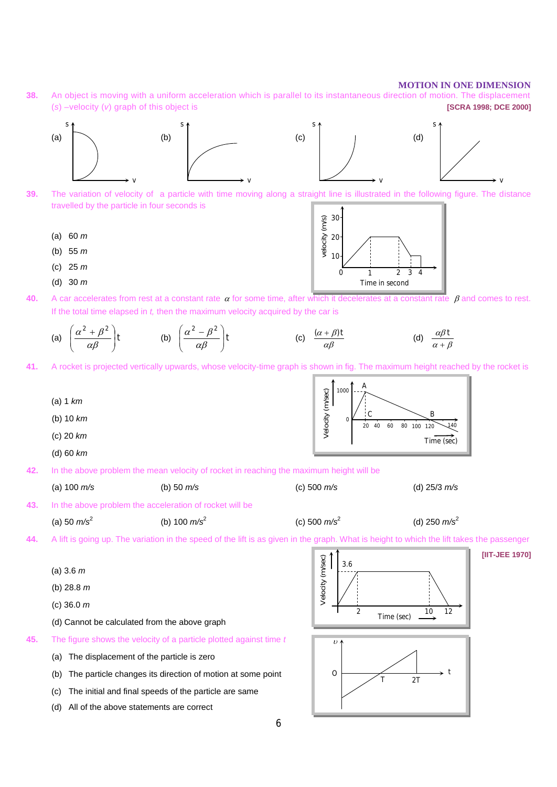**38.** An object is moving with a uniform acceleration which is parallel to its instantaneous direction of motion. The displacement (*s*) –velocity (*v*) graph of this object is **[SCRA 1998; DCE 2000]**



- **39.** The variation of velocity of a particle with time moving along a straight line is illustrated in the following figure. The distance travelled by the particle in four seconds is
	- (a) 60 *m*
	- (b) 55 *m*
	- (c) 25 *m*
	- (d) 30 *m*
- **40.** A car accelerates from rest at a constant rate  $\alpha$  for some time, after which it decelerates at a constant rate  $\beta$  and comes to rest. If the total time elapsed in *t,* then the maximum velocity acquired by the car is

velocity (*m/s*)

relocity (m/s)

 $1<sup>1</sup>$ 20

30

0 1 2 3 4

Time in second

(a) 
$$
\left(\frac{\alpha^2 + \beta^2}{\alpha \beta}\right)
$$
t (b)  $\left(\frac{\alpha^2 - \beta^2}{\alpha \beta}\right)$ t (c)  $\frac{(\alpha + \beta)t}{\alpha \beta}$  (d)  $\frac{\alpha \beta t}{\alpha + \beta}$ 

**41.** A rocket is projected vertically upwards, whose velocity-time graph is shown in fig. The maximum height reached by the rocket is



6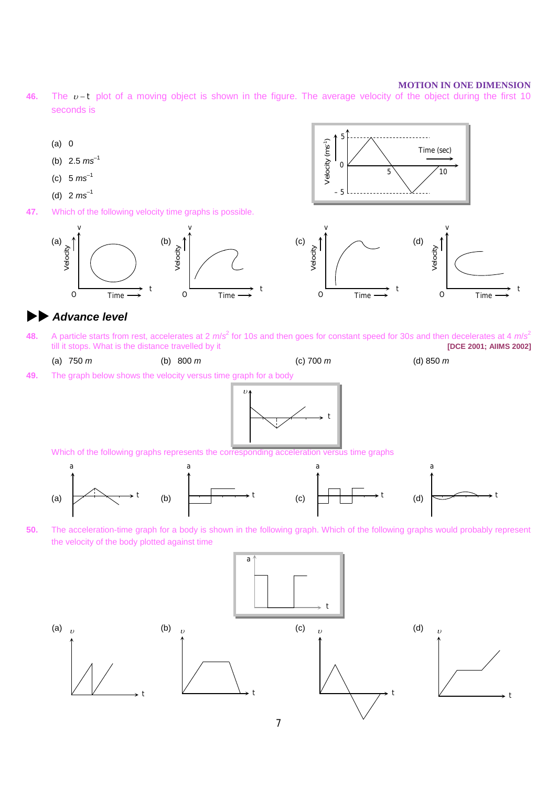**46.** The v-t plot of a moving object is shown in the figure. The average velocity of the object during the first 10 seconds is



# *Advance level*

**48.** A particle starts from rest, accelerates at 2  $m/s^2$  for 10*s* and then goes for constant speed for 30*s* and then decelerates at 4  $m/s^2$ till it stops. What is the distance travelled by it **[DCE 2001; AIIMS 2002]**

(a) 750 *m* (b) 800 *m* (c) 700 *m* (d) 850 *m*

**49.** The graph below shows the velocity versus time graph for a body



Which of the following graphs represents the corresponding acceleration versus time graphs



**50.** The acceleration-time graph for a body is shown in the following graph. Which of the following graphs would probably represent the velocity of the body plotted against time

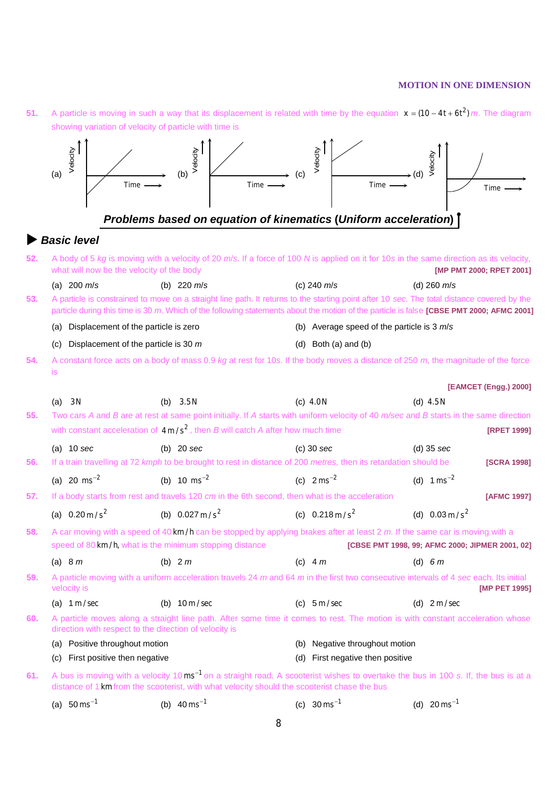**51.** A particle is moving in such a way that its displacement is related with time by the equation  $x = (10 - 4t + 6t^2)$  *m*. The diagram showing variation of velocity of particle with time is

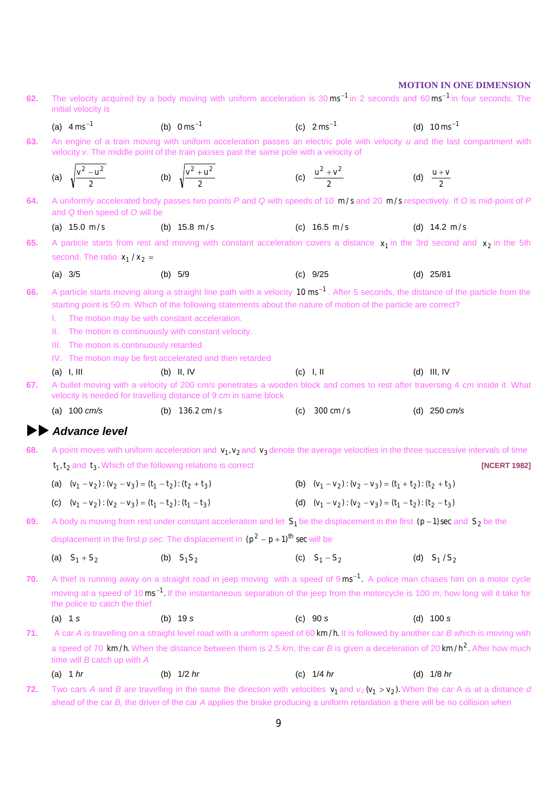| 62. | initial velocity is                                             | The velocity acquired by a body moving with uniform acceleration is $30 \text{ ms}^{-1}$ in 2 seconds and 60 ms <sup>-1</sup> in four seconds. The                                                                    |                                                                 |                          |
|-----|-----------------------------------------------------------------|-----------------------------------------------------------------------------------------------------------------------------------------------------------------------------------------------------------------------|-----------------------------------------------------------------|--------------------------|
|     | (a) $4 \text{ ms}^{-1}$                                         | (b) $0 \text{ ms}^{-1}$                                                                                                                                                                                               | (c) $2 \text{ ms}^{-1}$                                         | (d) $10 \text{ ms}^{-1}$ |
| 63. |                                                                 | An engine of a train moving with uniform acceleration passes an electric pole with velocity u and the last compartment with<br>velocity v. The middle point of the train passes past the same pole with a velocity of |                                                                 |                          |
|     | (a) $\sqrt{\frac{v^2 - u^2}{v^2}}$                              | (b) $\sqrt{\frac{v^2 + u^2}{v^2}}$                                                                                                                                                                                    | (c) $\frac{u^2 + v^2}{2}$                                       | (d) $\frac{u+v}{2}$      |
| 64. | and Q then speed of O will be                                   | A uniformly accelerated body passes two points P and Q with speeds of 10 m/s and 20 m/s respectively. If O is mid-point of P                                                                                          |                                                                 |                          |
|     | (a) $15.0 \text{ m/s}$                                          | (b) $15.8 \text{ m/s}$                                                                                                                                                                                                | (c) $16.5 \text{ m/s}$                                          | (d) $14.2 \text{ m/s}$   |
| 65. |                                                                 | A particle starts from rest and moving with constant acceleration covers a distance $x_1$ in the 3rd second and $x_2$ in the 5th                                                                                      |                                                                 |                          |
|     | second. The ratio $x_1 / x_2 =$                                 |                                                                                                                                                                                                                       |                                                                 |                          |
|     | (a) 3/5                                                         | (b) $5/9$                                                                                                                                                                                                             | $(c)$ 9/25                                                      | $(d)$ 25/81              |
| 66. |                                                                 | A particle starts moving along a straight line path with a velocity 10 ms <sup>-1</sup> . After 5 seconds, the distance of the particle from the                                                                      |                                                                 |                          |
|     |                                                                 | starting point is 50 m. Which of the following statements about the nature of motion of the particle are correct?                                                                                                     |                                                                 |                          |
|     | L.<br>Ш.                                                        | The motion may be with constant acceleration.<br>The motion is continuously with constant velocity.                                                                                                                   |                                                                 |                          |
|     | The motion is continuously retarded<br>Ш.                       |                                                                                                                                                                                                                       |                                                                 |                          |
|     |                                                                 | IV. The motion may be first accelerated and then retarded                                                                                                                                                             |                                                                 |                          |
|     | $(a)$ I, III                                                    | $(b)$ II, IV                                                                                                                                                                                                          | $(c)$ I, II                                                     | $(d)$ III, IV            |
| 67. |                                                                 | A bullet moving with a velocity of 200 cm/s penetrates a wooden block and comes to rest after traversing 4 cm inside it. What<br>velocity is needed for travelling distance of 9 cm in same block                     |                                                                 |                          |
|     | (a) $100 \, \text{cm/s}$                                        | (b) $136.2 \text{ cm/s}$                                                                                                                                                                                              | $300 \text{ cm/s}$<br>(c)                                       | (d) $250 \, \text{cm/s}$ |
|     | <b>Advance level</b>                                            |                                                                                                                                                                                                                       |                                                                 |                          |
| 68. |                                                                 | A point moves with uniform acceleration and $v_1$ , $v_2$ and $v_3$ denote the average velocities in the three successive intervals of time                                                                           |                                                                 |                          |
|     |                                                                 | $t1, t2$ and $t3$ . Which of the following relations is correct                                                                                                                                                       |                                                                 | [NCERT 1982]             |
|     | (a) $(v_1 - v_2)$ : $(v_2 - v_3) = (t_1 - t_2)$ : $(t_2 + t_3)$ |                                                                                                                                                                                                                       | (b) $(v_1 - v_2)$ : $(v_2 - v_3) = (t_1 + t_2)$ : $(t_2 + t_3)$ |                          |
|     | (c) $(v_1 - v_2)$ : $(v_2 - v_3) = (t_1 - t_2)$ : $(t_1 - t_3)$ |                                                                                                                                                                                                                       | (d) $(v_1 - v_2)$ : $(v_2 - v_3) = (t_1 - t_2)$ : $(t_2 - t_3)$ |                          |
| 69. |                                                                 | A body is moving from rest under constant acceleration and let $S_1$ be the displacement in the first ( $p-1$ ) sec and $S_2$ be the                                                                                  |                                                                 |                          |
|     |                                                                 | displacement in the first p sec. The displacement in $(p^2 - p + 1)$ <sup>th</sup> sec will be                                                                                                                        |                                                                 |                          |
|     | (a) $S_1 + S_2$                                                 | (b) $S_1S_2$                                                                                                                                                                                                          | (c) $S_1 - S_2$                                                 | (d) $S_1/S_2$            |
| 70. |                                                                 | A thief is running away on a straight road in jeep moving with a speed of 9 ms <sup>-1</sup> . A police man chases him on a motor cycle                                                                               |                                                                 |                          |
|     |                                                                 |                                                                                                                                                                                                                       |                                                                 |                          |
|     | the police to catch the thief                                   | moving at a speed of $10 \text{ ms}^{-1}$ . If the instantaneous separation of the jeep from the motorcycle is 100 m, how long will it take for                                                                       |                                                                 |                          |
|     | $(a)$ 1 s                                                       | (b) $19s$                                                                                                                                                                                                             | (c) 90 s                                                        | $(d)$ 100 s              |
| 71. |                                                                 | A car A is travelling on a straight level road with a uniform speed of 60 km/h. It is followed by another car B which is moving with                                                                                  |                                                                 |                          |
|     | time will $B$ catch up with $A$                                 | a speed of 70 km/h. When the distance between them is 2.5 km, the car B is given a deceleration of 20 km/h <sup>2</sup> . After how much                                                                              |                                                                 |                          |
|     | (a) 1 $hr$                                                      | (b) $1/2$ hr                                                                                                                                                                                                          | (c) $1/4 hr$                                                    | (d) $1/8$ hr             |
| 72. |                                                                 | Two cars A and B are travelling in the same the direction with velocities $v_1$ and $v_2$ ( $v_1 > v_2$ ). When the car A is at a distance d                                                                          |                                                                 |                          |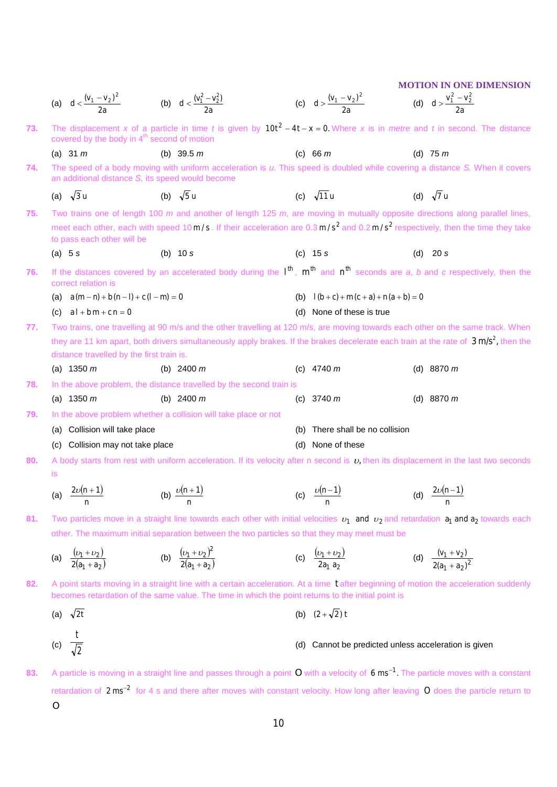|     |                                                                         |                                                                     |                                                                                                                                                                                                                                                                                                      | <b>MOTION IN ONE DIMENSION</b>           |
|-----|-------------------------------------------------------------------------|---------------------------------------------------------------------|------------------------------------------------------------------------------------------------------------------------------------------------------------------------------------------------------------------------------------------------------------------------------------------------------|------------------------------------------|
|     | (a) $d < \frac{(v_1 - v_2)^2}{2a}$ (b) $d < \frac{(v_1^2 - v_2^2)}{2a}$ |                                                                     | (c) $d > \frac{(v_1 - v_2)^2}{2a}$<br>(d) $d > \frac{v_1^2 - v_2^2}{2a}$                                                                                                                                                                                                                             |                                          |
| 73. | covered by the body in 4 <sup>th</sup> second of motion                 |                                                                     | The displacement x of a particle in time t is given by $10t^2 - 4t - x = 0$ . Where x is in metre and t in second. The distance                                                                                                                                                                      |                                          |
|     | (a) 31 $m$                                                              | (b) 39.5 $m$                                                        | (c) 66 $m$                                                                                                                                                                                                                                                                                           | (d) $75 m$                               |
| 74. |                                                                         | an additional distance S, its speed would become                    | The speed of a body moving with uniform acceleration is u. This speed is doubled while covering a distance S. When it covers                                                                                                                                                                         |                                          |
|     | (a) $\sqrt{3}$ u                                                        | (b) $\sqrt{5}$ u                                                    | (c) $\sqrt{11}$ u                                                                                                                                                                                                                                                                                    | (d) $\sqrt{7}$ u                         |
| 75. | to pass each other will be                                              |                                                                     | Two trains one of length 100 $m$ and another of length 125 $m$ , are moving in mutually opposite directions along parallel lines,<br>meet each other, each with speed $10 \text{ m/s}$ . If their acceleration are $0.3 \text{ m/s}^2$ and $0.2 \text{ m/s}^2$ respectively, then the time they take |                                          |
|     | (a) $5s$                                                                | (b) $10 s$                                                          | $(c)$ 15 s                                                                                                                                                                                                                                                                                           | (d) $20 s$                               |
| 76. | correct relation is                                                     |                                                                     | If the distances covered by an accelerated body during the $l^{th}$ , $m^{th}$ and $n^{th}$ seconds are a, b and c respectively, then the                                                                                                                                                            |                                          |
|     | (a) $a(m-n)+b(n-l)+c(l-m)=0$                                            |                                                                     | (b) $l(b+c) + m(c+a) + n(a+b) = 0$                                                                                                                                                                                                                                                                   |                                          |
|     | (c) $al + bm + cn = 0$                                                  |                                                                     | (d) None of these is true                                                                                                                                                                                                                                                                            |                                          |
| 77. |                                                                         |                                                                     | Two trains, one travelling at 90 m/s and the other travelling at 120 m/s, are moving towards each other on the same track. When                                                                                                                                                                      |                                          |
|     | distance travelled by the first train is.                               |                                                                     | they are 11 km apart, both drivers simultaneously apply brakes. If the brakes decelerate each train at the rate of $3 \text{ m/s}^2$ , then the                                                                                                                                                      |                                          |
|     | (a) $1350 \; m$                                                         | (b) $2400 \; m$                                                     | (c) $4740 m$                                                                                                                                                                                                                                                                                         | (d) $8870 m$                             |
| 78. |                                                                         | In the above problem, the distance travelled by the second train is |                                                                                                                                                                                                                                                                                                      |                                          |
|     | (a) $1350 \; m$                                                         | (b) $2400 \; m$                                                     | (c) $3740 \; m$                                                                                                                                                                                                                                                                                      | (d) $8870 m$                             |
| 79. |                                                                         | In the above problem whether a collision will take place or not     |                                                                                                                                                                                                                                                                                                      |                                          |
|     | (a) Collision will take place                                           |                                                                     | (b) There shall be no collision                                                                                                                                                                                                                                                                      |                                          |
|     | (c) Collision may not take place                                        |                                                                     | None of these<br>(d)                                                                                                                                                                                                                                                                                 |                                          |
| 80. | is                                                                      |                                                                     | A body starts from rest with uniform acceleration. If its velocity after n second is $v$ , then its displacement in the last two seconds                                                                                                                                                             |                                          |
|     | (a) $\frac{2\nu(n+1)}{n}$<br>n                                          | (b) $\frac{\nu(n+1)}{2}$                                            | (c) $\frac{\nu(n-1)}{2}$                                                                                                                                                                                                                                                                             | (d) $\frac{2\nu(n-1)}{2}$<br>n           |
| 81. |                                                                         |                                                                     | Two particles move in a straight line towards each other with initial velocities $v_1$ and $v_2$ and retardation $a_1$ and $a_2$ towards each                                                                                                                                                        |                                          |
|     |                                                                         |                                                                     | other. The maximum initial separation between the two particles so that they may meet must be                                                                                                                                                                                                        |                                          |
|     | (a) $\frac{(v_1+v_2)}{2(a_1+a_2)}$                                      | (b) $\frac{(v_1 + v_2)^2}{2(a_1 + a_2)}$                            | (c) $\frac{(v_1 + v_2)}{2a_1 a_2}$                                                                                                                                                                                                                                                                   | (d) $\frac{(v_1 + v_2)}{2(a_1 + a_2)^2}$ |
| 82. |                                                                         |                                                                     | A point starts moving in a straight line with a certain acceleration. At a time t after beginning of motion the acceleration suddenly<br>becomes retardation of the same value. The time in which the point returns to the initial point is                                                          |                                          |
|     | (a) $\sqrt{2}t$                                                         |                                                                     | (b) $(2+\sqrt{2})t$                                                                                                                                                                                                                                                                                  |                                          |
|     | (c)                                                                     |                                                                     | (d) Cannot be predicted unless acceleration is given                                                                                                                                                                                                                                                 |                                          |
| 83. |                                                                         |                                                                     | A particle is moving in a straight line and passes through a point O with a velocity of $6 \text{ ms}^{-1}$ . The particle moves with a constant                                                                                                                                                     |                                          |

retardation of 2 ms<sup>-2</sup> for 4 s and there after moves with constant velocity. How long after leaving O does the particle return to *O*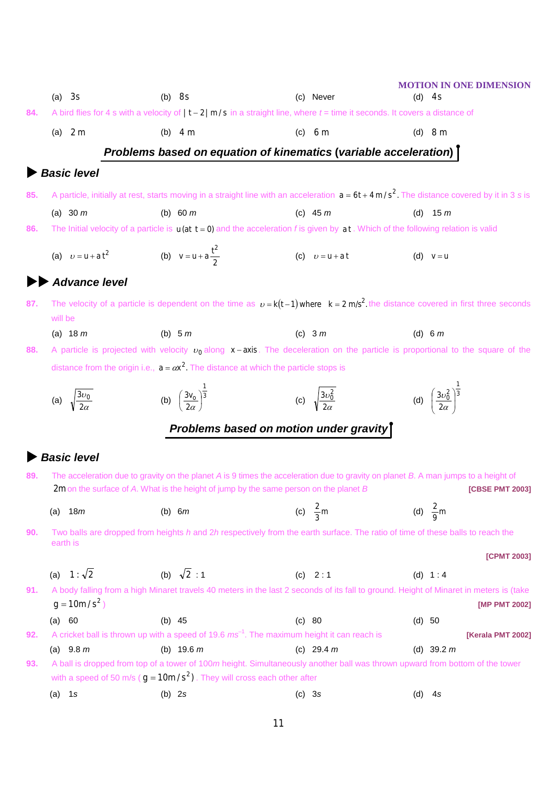|     | $(a)$ 3s                                          | $(b)$ 8s                                                                                                                                       | (c) Never                           | <b>MOTION IN ONE DIMENSION</b><br>$(d)$ 4s              |
|-----|---------------------------------------------------|------------------------------------------------------------------------------------------------------------------------------------------------|-------------------------------------|---------------------------------------------------------|
| 84. |                                                   | A bird flies for 4 s with a velocity of $\vert t-2\vert m/s$ in a straight line, where $t=$ time it seconds. It covers a distance of           |                                     |                                                         |
|     | (a) $2m$                                          | (b) $4m$                                                                                                                                       | $(c)$ 6 m                           | (d) $8m$                                                |
|     |                                                   | Problems based on equation of kinematics (variable acceleration) [                                                                             |                                     |                                                         |
|     | <b>Basic level</b>                                |                                                                                                                                                |                                     |                                                         |
|     |                                                   |                                                                                                                                                |                                     |                                                         |
| 85. |                                                   | A particle, initially at rest, starts moving in a straight line with an acceleration $a = 6t + 4 m/s^2$ . The distance covered by it in 3 s is |                                     |                                                         |
|     | (a) $30 \, m$                                     | (b) 60 $m$                                                                                                                                     | (c) $45 m$                          | (d) $15 m$                                              |
| 86. |                                                   | The Initial velocity of a particle is $u(at t = 0)$ and the acceleration f is given by $at$ . Which of the following relation is valid         |                                     |                                                         |
|     | (a) $v = u + a t^2$ (b) $v = u + a \frac{t^2}{2}$ |                                                                                                                                                | (c) $v = u + a t$                   | (d) $v = u$                                             |
|     | <b>Advance level</b>                              |                                                                                                                                                |                                     |                                                         |
| 87. | will be                                           | The velocity of a particle is dependent on the time as $v = k(t-1)$ where $k = 2$ m/s <sup>2</sup> the distance covered in first three seconds |                                     |                                                         |
|     | (a) $18 \, m$                                     | (b) $5m$                                                                                                                                       | (c) $3m$                            | (d) 6 $m$                                               |
| 88. |                                                   | A particle is projected with velocity $v_0$ along $x - axis$ . The deceleration on the particle is proportional to the square of the           |                                     |                                                         |
|     |                                                   | distance from the origin i.e., $a = \alpha x^2$ . The distance at which the particle stops is                                                  |                                     |                                                         |
|     |                                                   |                                                                                                                                                |                                     |                                                         |
|     | (a) $\sqrt{\frac{3v_0}{2\alpha}}$                 | (b) $\left(\frac{3v_0}{2\alpha}\right)^{\frac{1}{3}}$                                                                                          | (c) $\sqrt{\frac{3v_0^2}{2\alpha}}$ | (d) $\left(\frac{3v_0^2}{2\alpha}\right)^{\frac{1}{3}}$ |
|     |                                                   | Problems based on motion under gravity                                                                                                         |                                     |                                                         |
|     | <b>Basic level</b>                                |                                                                                                                                                |                                     |                                                         |
| 89. |                                                   | The acceleration due to gravity on the planet A is 9 times the acceleration due to gravity on planet B. A man jumps to a height of             |                                     |                                                         |
|     |                                                   | 2m on the surface of A. What is the height of jump by the same person on the planet B                                                          |                                     | <b>[CBSE PMT 2003]</b>                                  |
|     | 18m<br>(a)                                        | (b) $6m$                                                                                                                                       | (c) $\frac{2}{3}$ m                 | (d) $\frac{2}{9}$ m                                     |
| 90. |                                                   | Two balls are dropped from heights h and 2h respectively from the earth surface. The ratio of time of these balls to reach the                 |                                     |                                                         |
|     | earth is                                          |                                                                                                                                                |                                     | [CPMT 2003]                                             |
|     |                                                   |                                                                                                                                                |                                     |                                                         |
|     |                                                   |                                                                                                                                                |                                     |                                                         |
|     | (a) $1:\sqrt{2}$                                  | (b) $\sqrt{2}$ : 1                                                                                                                             | (c) $2:1$                           | (d) $1:4$                                               |
| 91. | $g = 10m/s^2$                                     | A body falling from a high Minaret travels 40 meters in the last 2 seconds of its fall to ground. Height of Minaret in meters is (take         |                                     | [MP PMT 2002]                                           |
|     | (a) 60                                            | (b) $45$                                                                                                                                       | (c) 80                              | (d) 50                                                  |
| 92. |                                                   | A cricket ball is thrown up with a speed of 19.6 $ms^{-1}$ . The maximum height it can reach is                                                |                                     | [Kerala PMT 2002]                                       |
|     | (a) $9.8 m$                                       | (b) $19.6 m$                                                                                                                                   | (c) 29.4 $m$                        | (d) 39.2 $m$                                            |
| 93. |                                                   | A ball is dropped from top of a tower of 100m height. Simultaneously another ball was thrown upward from bottom of the tower                   |                                     |                                                         |
|     | $(a)$ 1s                                          | with a speed of 50 m/s ( $g = 10m/s2$ ). They will cross each other after<br>$(b)$ 2s                                                          | $(c)$ 3s                            | $(d)$ 4s                                                |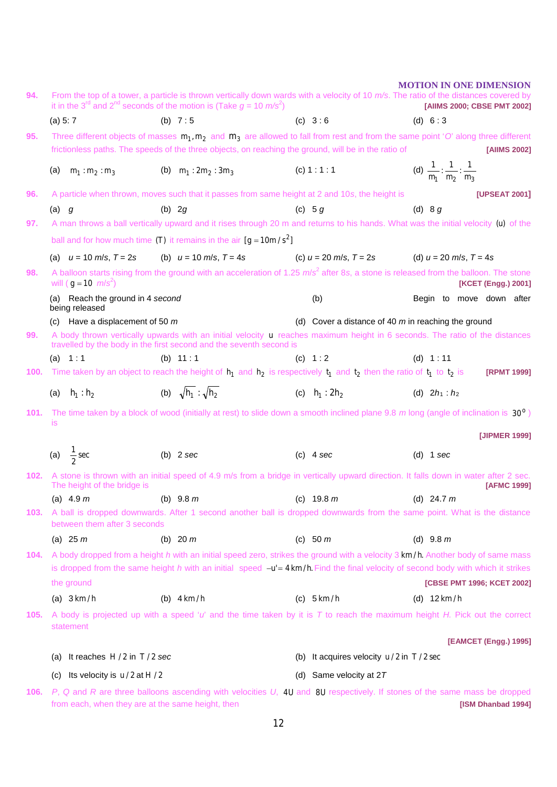**MOTION IN ONE DIMENSION 94.** From the top of a tower, a particle is thrown vertically down wards with a velocity of 10 *m/s*. The ratio of the distances covered by it in the 3<sup>rd</sup> and 2<sup>nd</sup> seconds of the motion is (Take  $g = 10 \text{ m/s}^2$ ) (a) 5: 7 (b) 7 : 5 (c) 3 : 6 (d) 6 : 3 ) **[AIIMS 2000; CBSE PMT 2002] 95.** Three different objects of masses  $m_1, m_2$  and  $m_3$  are allowed to fall from rest and from the same point '*O*' along three different frictionless paths. The speeds of the three objects, on reaching the ground, will be in the ratio of **[AIIMS 2002]** (a)  $m_1 : m_2 : m_3$  (b)  $m_1 : 2m_2 : 3m_3$  (c) 1 : 1 : 1  $n_1$   $m_2$   $m_3$  $\frac{1}{2}$ : $\frac{1}{2}$ : $\frac{1}{2}$  $m_1$   $m_2$   $m$ **96.** A particle when thrown, moves such that it passes from same height at 2 and 10*s*, the height is **[UPSEAT 2001]** (a) *g* (b) 2*g* (c) 5 *g* (d) 8 *g* **97.** A man throws a ball vertically upward and it rises through 20 m and returns to his hands. What was the initial velocity (u) of the ball and for how much time **(T)** it remains in the air  $[g = 10m/s^2]$ (a)  $u = 10$  m/s,  $T = 2s$  (b)  $u = 10$  m/s,  $T = 4s$  (c)  $u = 20$  m/s,  $T = 2s$  (d)  $u = 20$  m/s,  $T = 4s$ 98. A balloon starts rising from the ground with an acceleration of 1.25  $m/s^2$  after 8*s*, a stone is released from the balloon. The stone will ( $g = 10$   $m/s^2$ (a) Reach the ground in 4 *second* **by a set of the ground in 4** *second* **by the second conducts** (b) Begin to move down after being released (c) Have a displacement of 50 *m* (d) Cover a distance of 40 *m* in reaching the ground ) **[KCET (Engg.) 2001] 99.** A body thrown vertically upwards with an initial velocity *u* reaches maximum height in 6 seconds. The ratio of the distances travelled by the body in the first second and the seventh second is (a) 1:1 (b) 11:1 (c) 1:2 (d) 1:11 **100.** Time taken by an object to reach the height of  $h_1$  and  $h_2$  is respectively  $t_1$  and  $t_2$  then the ratio of  $t_1$ *t* to 2*t* is **[RPMT 1999]** (a)  $h_1 : h_2$  (b)  $\sqrt{h_1} : \sqrt{h_2}$  (c)  $h_1 : 2h_2$ **101.** The time taken by a block of wood (initially at rest) to slide down a smooth inclined plane 9.8 m long (angle of inclination is 30<sup>°</sup>) (d)  $2h_1 : h_2$ is **[JIPMER 1999]** (a)  $\frac{1}{2}$  sec  $\frac{1}{6}$  sec (b) 2 *sec* (c) 4 *sec* (d) 1 *sec* **102.** A stone is thrown with an initial speed of 4.9 m/s from a bridge in vertically upward direction. It falls down in water after 2 sec.<br> **[AFMC 1999]** [AFMC 1999] The height of the bridge is (a) 4.9 *m* (b) 9.8 *m* (c) 19.8 *m* (d) 24.7 *m* **103.** A ball is dropped downwards. After 1 second another ball is dropped downwards from the same point. What is the distance between them after 3 seconds (a) 25 *m* (b) 20 *m* (c) 50 *m* (d) 9.8 *m* **104.** A body dropped from a height *h* with an initial speed zero, strikes the ground with a velocity 3 *km h*./ Another body of same mass is dropped from the same height *h* with an initial speed -**u'= 4 km/h.** Find the final velocity of second body with which it strikes the ground **[CBSE PMT 1996; KCET 2002]** (a) 3 *km* / *h* (b) 4 *km* / *h* (c) 5 *km* / *h* (d) 12 *km* / *h* **105.** A body is projected up with a speed '*u*' and the time taken by it is *T* to reach the maximum height *H.* Pick out the correct statement **[EAMCET (Engg.) 1995]** (a) It reaches *H* 2/ in *T* 2/ *sec* (b) It acquires velocity *u* 2/ in *T* 2/ sec (c) Its velocity is  $u/2$  at  $H/2$  (d) Same velocity at 2*T* **106.** *P*, *Q* and *R* are three balloons ascending with velocities *U*, 4*U* and 8*U* respectively. If stones of the same mass be dropped from each, when they are at the same height, then **[ISM Dhanbad 1994]**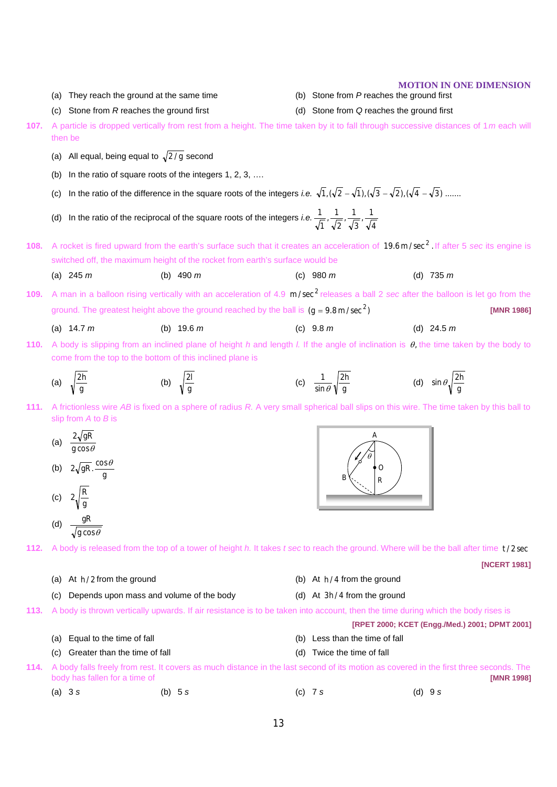## **107.** A particle is dropped vertically from rest from a height. The time taken by it to fall through successive distances of 1*m* each will then be (a) All equal, being equal to  $\sqrt{2/g}$  second (b) In the ratio of square roots of the integers 1, 2, 3, …. (c) In the ratio of the difference in the square roots of the integers *i.e.*  $\sqrt{1}$ ,  $(\sqrt{2}-\sqrt{1})$ ,  $(\sqrt{3}-\sqrt{2})$ ,  $(\sqrt{4}-\sqrt{3})$  ....... (d) In the ratio of the reciprocal of the square roots of the integers *i.e.* 4  $\frac{1}{\sqrt{1}}$ 3  $\frac{1}{\sqrt{1}}$ 2  $\frac{1}{\sqrt{1}}$ 1 1 108. A rocket is fired upward from the earth's surface such that it creates an acceleration of 19.6m/sec<sup>2</sup>. If after 5 sec its engine is switched off, the maximum height of the rocket from earth's surface would be (a) 245 *m* (b) 490 *m* (c) 980 *m* (d) 735 *m* **109.** A man in a balloon rising vertically with an acceleration of 4.9 m/sec<sup>2</sup> releases a ball 2 *sec* after the balloon is let go from the ground. The greatest height above the ground reached by the ball is  $(g = 9.8 \text{ m/sec}^2)$  **[MNR 1986]** (a) 14.7 *m* (b) 19.6 *m* (c) 9.8 *m* (d) 24.5 *m*  **110.** A body is slipping from an inclined plane of height *h* and length *l.* If the angle of inclination is θ, the time taken by the body to come from the top to the bottom of this inclined plane is (a)  $\sqrt{\frac{m}{g}}$  $\frac{2h}{g}$  (b)  $\sqrt{\frac{2l}{g}}$  $\frac{2l}{g}$  (c)  $\frac{1}{\sin \theta} \sqrt{\frac{2l}{g}}$ 2*h* sin 1  $\theta \sqrt{\frac{2h}{g}}$  (d)  $\sin \theta \sqrt{\frac{2h}{g}}$ **111.** A frictionless wire *AB* is fixed on a sphere of radius *R.* A very small spherical ball slips on this wire. The time taken by this ball to slip from *A* to *B* is (a)  $\frac{1}{g} \frac{\cos \theta}{\cos \theta}$ 2 *g gR* (b)  $2\sqrt{gR} \cdot \frac{\cos \theta}{g}$ (c)  $2\sqrt{\frac{R}{g}}$ (d) g cos $\theta$ *gR* **112.** A body is released from the top of a tower of height *h.* It takes *t sec* to reach the ground. Where will be the ball after time *t* 2/ sec **[NCERT 1981]** (a) At *h* 2/ from the ground (b) At *h* 4/ from the ground (c) Depends upon mass and volume of the body (d) At 3h/4 from the ground **113.** A body is thrown vertically upwards. If air resistance is to be taken into account, then the time during which the body rises is **[RPET 2000; KCET (Engg./Med.) 2001; DPMT 2001]** (a) Equal to the time of fall (b) Less than the time of fall (c) Greater than the time of fall (d) Twice the time of fall **114.** A body falls freely from rest. It covers as much distance in the last second of its motion as covered in the first three seconds. The body has fallen for a time of **[MNR 1998]** (a) 3 *s* (b) 5 *s* (c) 7 *s* (d) 9 *s B A O R* θ

(c) Stone from *R* reaches the ground first (d) Stone from *Q* reaches the ground first

(a) They reach the ground at the same time

**MOTION IN ONE DIMENSION**<br>(b) Stone from P reaches the ground first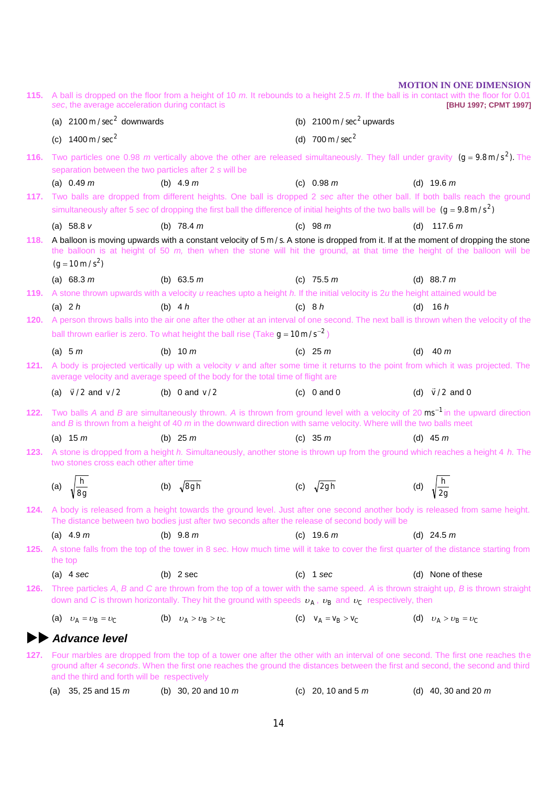**115.** A ball is dropped on the floor from a height of 10 *m.* It rebounds to a height 2.5 *m*. If the ball is in contact with the floor for 0.01 *sec*, the average acceleration during contact is **[BHU 1997; CPMT 1997]** (a)  $2100 \text{ m} / \text{sec}^2$  downwards (b)  $2100 \text{ m} / \text{sec}^2$  upwards (c)  $1400 \text{ m/sec}^2$  *(d)*  $700 \text{ m/sec}^2$ **116.** Two particles one 0.98 *m* vertically above the other are released simultaneously. They fall under gravity  $(g = 9.8 \text{ m/s}^2)$ . The separation between the two particles after 2 *s* will be (a) 0.49 *m* (b) 4.9 *m* (c) 0.98 *m* (d) 19.6 *m* **117.** Two balls are dropped from different heights. One ball is dropped 2 *sec* after the other ball. If both balls reach the ground simultaneously after 5 *sec* of dropping the first ball the difference of initial heights of the two balls will be  $(g = 9.8 \text{ m/s}^2)$ (a) 58.8 *v* (b) 78.4 *m* (c) 98 *m* (d) 117.6 *m*  **118.** A balloon is moving upwards with a constant velocity of 5 m/s. A stone is dropped from it. If at the moment of dropping the stone the balloon is at height of 50 *m,* then when the stone will hit the ground, at that time the height of the balloon will be  $(g = 10 \,\mathrm{m/s}^2)$ (a) 68.3 *m* (b) 63.5 *m* (c) 75.5 *m* (d) 88.7 *m* **119.** A stone thrown upwards with a velocity *u* reaches upto a height *h.* If the initial velocity is 2*u* the height attained would be (a) 2 *h* (b) 4 *h* (c) 8 *h* (d) 16 *h*  **120.** A person throws balls into the air one after the other at an interval of one second. The next ball is thrown when the velocity of the ball thrown earlier is zero. To what height the ball rise (Take  $g = 10 \text{ m/s}^{-2}$ ) (a) 5 *m* (b) 10 *m* (c) 25 *m* (d) 40 *m* **121.** A body is projected vertically up with a velocity *v* and after some time it returns to the point from which it was projected. The average velocity and average speed of the body for the total time of flight are (a)  $\vec{v}/2$  and  $v/2$  (b) 0 and  $v/2$  (c) 0 and 0 (d)  $\vec{v}/2$  and 0 **122.** Two balls *A* and *B* are simultaneously thrown. *A* is thrown from ground level with a velocity of 20 ms<sup>-1</sup> in the upward direction and *B* is thrown from a height of 40 *m* in the downward direction with same velocity. Where will the two balls meet (a) 15 *m* (b) 25 *m* (c) 35 *m* (d) 45 *m* **123.** A stone is dropped from a height *h.* Simultaneously, another stone is thrown up from the ground which reaches a height 4 *h.* The two stones cross each other after time (a)  $\sqrt{\frac{0}{8g}}$ *h*  $\frac{h}{8g}$  (b)  $\sqrt{8gh}$  (c)  $\sqrt{2gh}$  (d) *g*  $\frac{h}{2g}$ **124.** A body is released from a height towards the ground level. Just after one second another body is released from same height. The distance between two bodies just after two seconds after the release of second body will be (a) 4.9 *m* (b) 9.8 *m* (c) 19.6 *m* (d) 24.5 *m* **125.** A stone falls from the top of the tower in 8 s*e*c. How much time will it take to cover the first quarter of the distance starting from the top (a) 4 *sec* (b) 2 sec (c) 1 *sec* (d) None of these **126.** Three particles *A*, *B* and *C* are thrown from the top of a tower with the same speed. *A* is thrown straight up, *B* is thrown straight down and *C* is thrown horizontally. They hit the ground with speeds  $v_A$ ,  $v_B$  and  $v_C$  respectively, then (a)  $v_A = v_B = v_C$  (b)  $v_A > v_B > v_C$  (c)  $v_A = v_B > v_C$  (d)  $v_A > v_B = v_C$  *Advance level* **127.** Four marbles are dropped from the top of a tower one after the other with an interval of one second. The first one reaches the ground after 4 *seconds*. When the first one reaches the ground the distances between the first and second, the second and third and the third and forth will be respectively (a) 35, 25 and 15 *m* (b) 30, 20 and 10 *m* (c) 20, 10 and 5 *m* (d) 40, 30 and 20 *m* 

**MOTION IN ONE DIMENSION**